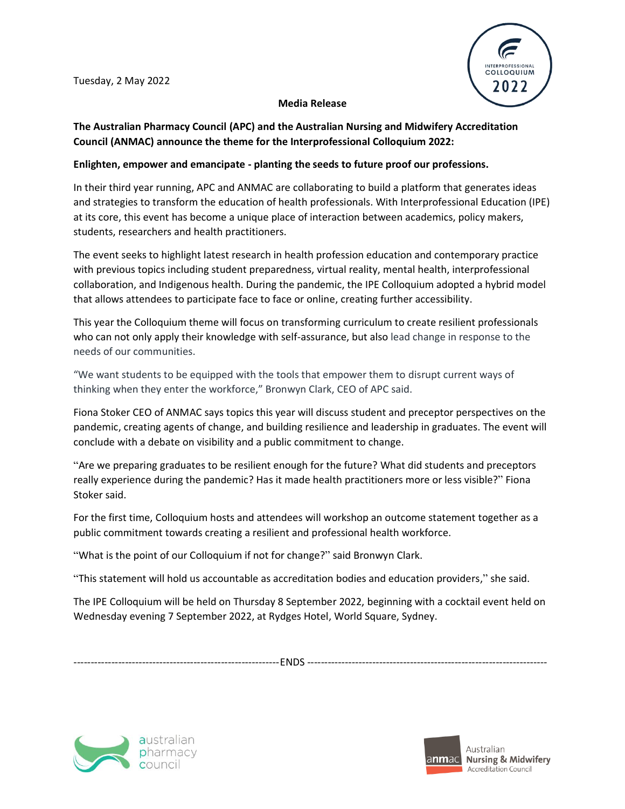

## **Media Release**

## **The Australian Pharmacy Council (APC) and the Australian Nursing and Midwifery Accreditation Council (ANMAC) announce the theme for the Interprofessional Colloquium 2022:**

## **Enlighten, empower and emancipate - planting the seeds to future proof our professions.**

In their third year running, APC and ANMAC are collaborating to build a platform that generates ideas and strategies to transform the education of health professionals. With Interprofessional Education (IPE) at its core, this event has become a unique place of interaction between academics, policy makers, students, researchers and health practitioners.

The event seeks to highlight latest research in health profession education and contemporary practice with previous topics including student preparedness, virtual reality, mental health, interprofessional collaboration, and Indigenous health. During the pandemic, the IPE Colloquium adopted a hybrid model that allows attendees to participate face to face or online, creating further accessibility.

This year the Colloquium theme will focus on transforming curriculum to create resilient professionals who can not only apply their knowledge with self-assurance, but also lead change in response to the needs of our communities.

"We want students to be equipped with the tools that empower them to disrupt current ways of thinking when they enter the workforce," Bronwyn Clark, CEO of APC said.

Fiona Stoker CEO of ANMAC says topics this year will discuss student and preceptor perspectives on the pandemic, creating agents of change, and building resilience and leadership in graduates. The event will conclude with a debate on visibility and a public commitment to change.

"Are we preparing graduates to be resilient enough for the future? What did students and preceptors really experience during the pandemic? Has it made health practitioners more or less visible?" Fiona Stoker said.

For the first time, Colloquium hosts and attendees will workshop an outcome statement together as a public commitment towards creating a resilient and professional health workforce.

"What is the point of our Colloquium if not for change?" said Bronwyn Clark.

"This statement will hold us accountable as accreditation bodies and education providers," she said.

The IPE Colloquium will be held on Thursday 8 September 2022, beginning with a cocktail event held on Wednesday evening 7 September 2022, at Rydges Hotel, World Square, Sydney.

------------------------------------------------------------ENDS ----------------------------------------------------------------------